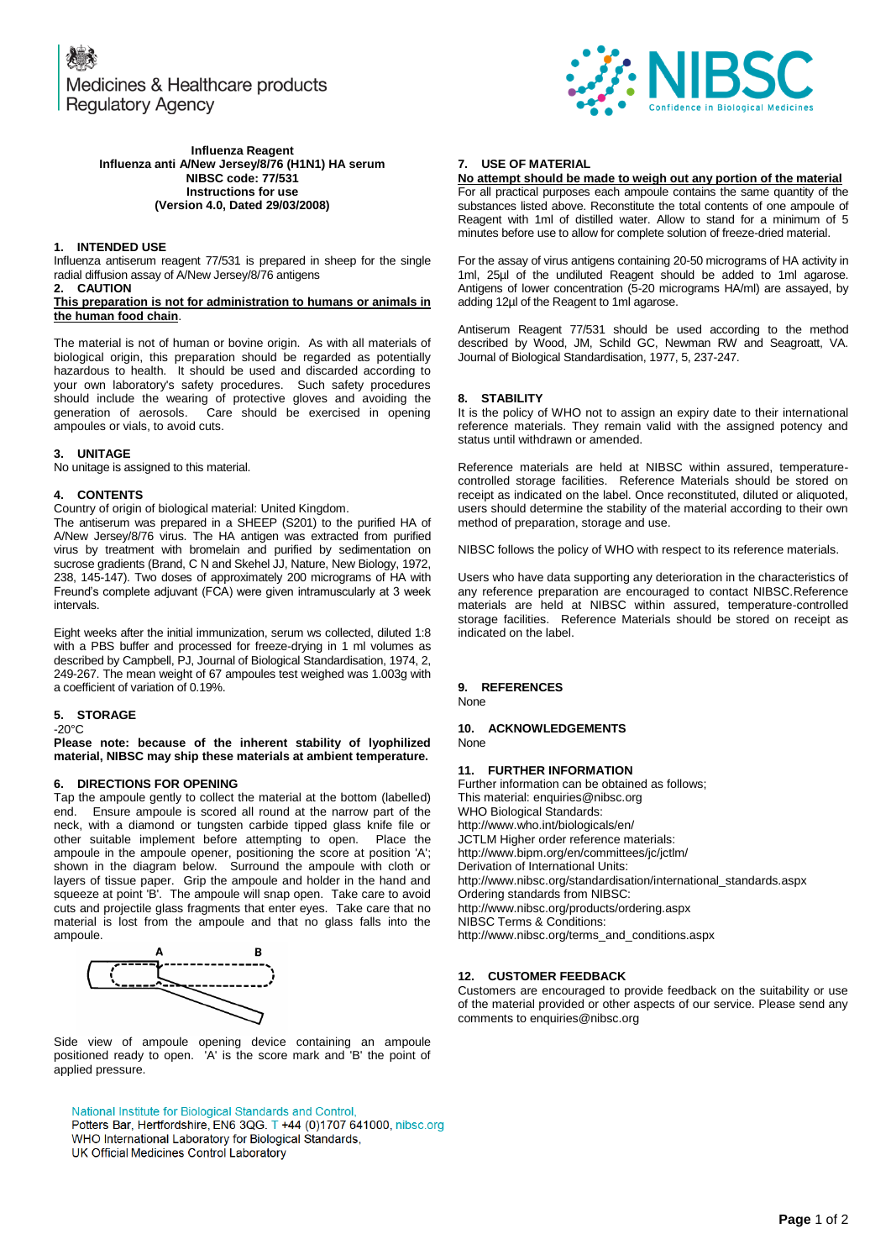Medicines & Healthcare products **Regulatory Agency** 



#### **Influenza Reagent Influenza anti A/New Jersey/8/76 (H1N1) HA serum NIBSC code: 77/531 Instructions for use (Version 4.0, Dated 29/03/2008)**

## **1. INTENDED USE**

Influenza antiserum reagent 77/531 is prepared in sheep for the single radial diffusion assay of A/New Jersey/8/76 antigens

#### **2. CAUTION This preparation is not for administration to humans or animals in the human food chain**.

The material is not of human or bovine origin. As with all materials of biological origin, this preparation should be regarded as potentially hazardous to health. It should be used and discarded according to your own laboratory's safety procedures. Such safety procedures should include the wearing of protective gloves and avoiding the generation of aerosols. Care should be exercised in opening ampoules or vials, to avoid cuts.

## **3. UNITAGE**

No unitage is assigned to this material.

## **4. CONTENTS**

Country of origin of biological material: United Kingdom.

The antiserum was prepared in a SHEEP (S201) to the purified HA of A/New Jersey/8/76 virus. The HA antigen was extracted from purified virus by treatment with bromelain and purified by sedimentation on sucrose gradients (Brand, C N and Skehel JJ, Nature, New Biology, 1972, 238, 145-147). Two doses of approximately 200 micrograms of HA with Freund's complete adjuvant (FCA) were given intramuscularly at 3 week intervals.

Eight weeks after the initial immunization, serum ws collected, diluted 1:8 with a PBS buffer and processed for freeze-drying in 1 ml volumes as described by Campbell, PJ, Journal of Biological Standardisation, 1974, 2, 249-267. The mean weight of 67 ampoules test weighed was 1.003g with a coefficient of variation of 0.19%.

# **5. STORAGE**

-20°C **Please note: because of the inherent stability of lyophilized material, NIBSC may ship these materials at ambient temperature.**

#### **6. DIRECTIONS FOR OPENING**

Tap the ampoule gently to collect the material at the bottom (labelled) end. Ensure ampoule is scored all round at the narrow part of the neck, with a diamond or tungsten carbide tipped glass knife file or other suitable implement before attempting to open. Place the ampoule in the ampoule opener, positioning the score at position 'A'; shown in the diagram below. Surround the ampoule with cloth or layers of tissue paper. Grip the ampoule and holder in the hand and squeeze at point 'B'. The ampoule will snap open. Take care to avoid cuts and projectile glass fragments that enter eyes. Take care that no material is lost from the ampoule and that no glass falls into the ampoule.



Side view of ampoule opening device containing an ampoule positioned ready to open. 'A' is the score mark and 'B' the point of applied pressure.

National Institute for Biological Standards and Control, Potters Bar, Hertfordshire, EN6 3QG. T +44 (0)1707 641000, nibsc.org WHO International Laboratory for Biological Standards, UK Official Medicines Control Laboratory

## **7. USE OF MATERIAL**

**No attempt should be made to weigh out any portion of the material** For all practical purposes each ampoule contains the same quantity of the substances listed above. Reconstitute the total contents of one ampoule of Reagent with 1ml of distilled water. Allow to stand for a minimum of 5 minutes before use to allow for complete solution of freeze-dried material.

For the assay of virus antigens containing 20-50 micrograms of HA activity in 1ml, 25µl of the undiluted Reagent should be added to 1ml agarose. Antigens of lower concentration (5-20 micrograms HA/ml) are assayed, by adding 12µl of the Reagent to 1ml agarose.

Antiserum Reagent 77/531 should be used according to the method described by Wood, JM, Schild GC, Newman RW and Seagroatt, VA. Journal of Biological Standardisation, 1977, 5, 237-247.

#### **8. STABILITY**

It is the policy of WHO not to assign an expiry date to their international reference materials. They remain valid with the assigned potency and status until withdrawn or amended.

Reference materials are held at NIBSC within assured, temperaturecontrolled storage facilities. Reference Materials should be stored on receipt as indicated on the label. Once reconstituted, diluted or aliquoted, users should determine the stability of the material according to their own method of preparation, storage and use.

NIBSC follows the policy of WHO with respect to its reference materials.

Users who have data supporting any deterioration in the characteristics of any reference preparation are encouraged to contact NIBSC.Reference materials are held at NIBSC within assured, temperature-controlled storage facilities. Reference Materials should be stored on receipt as indicated on the label.

#### **9. REFERENCES** None

#### **10. ACKNOWLEDGEMENTS**  None

# **11. FURTHER INFORMATION**

Further information can be obtained as follows; This material[: enquiries@nibsc.org](mailto:enquiries@nibsc.org) WHO Biological Standards: <http://www.who.int/biologicals/en/> JCTLM Higher order reference materials: <http://www.bipm.org/en/committees/jc/jctlm/> Derivation of International Units: [http://www.nibsc.org/standardisation/international\\_standards.aspx](http://www.nibsc.org/standardisation/international_standards.aspx) Ordering standards from NIBSC: <http://www.nibsc.org/products/ordering.aspx> NIBSC Terms & Conditions: [http://www.nibsc.org/terms\\_and\\_conditions.aspx](http://www.nibsc.ac.uk/terms_and_conditions.aspx)

## **12. CUSTOMER FEEDBACK**

Customers are encouraged to provide feedback on the suitability or use of the material provided or other aspects of our service. Please send any comments t[o enquiries@nibsc.org](mailto:enquiries@nibsc.org)